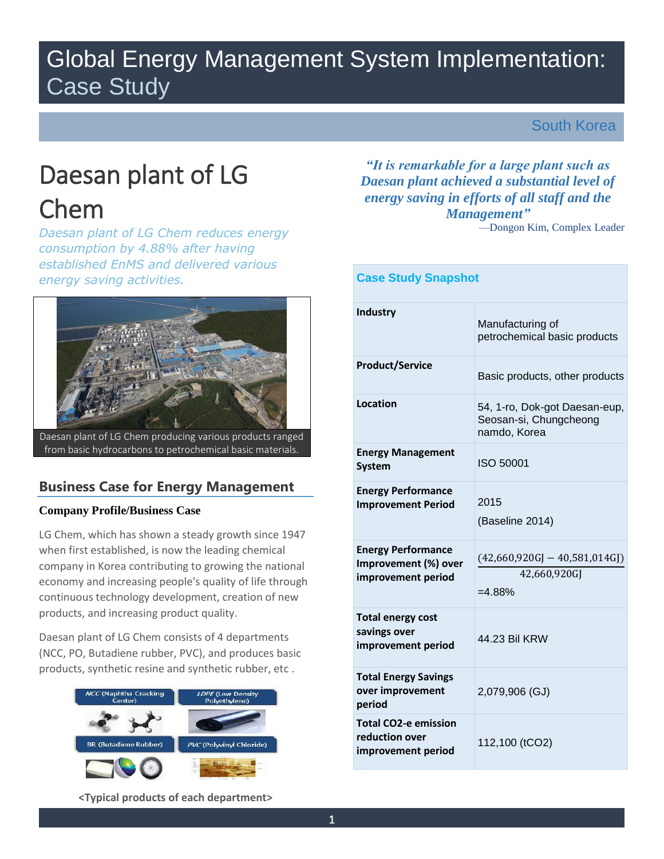# Global Energy Management System Implementation: Case Study

South Korea

# Daesan plant of LG Chem

*Daesan plant of LG Chem reduces energy consumption by 4.88% after having established EnMS and delivered various energy saving activities.* 



# **Business Case for Energy Management**

# **Company Profile/Business Case**

LG Chem, which has shown a steady growth since 1947 when first established, is now the leading chemical company in Korea contributing to growing the national economy and increasing people's quality of life through continuous technology development, creation of new products, and increasing product quality.

Daesan plant of LG Chem consists of 4 departments (NCC, PO, Butadiene rubber, PVC), and produces basic products, synthetic resine and synthetic rubber, etc .



*"It is remarkable for a large plant such as Daesan plant achieved a substantial level of energy saving in efforts of all staff and the Management"* —Dongon Kim, Complex Leader

| <b>Case Study Snapshot</b>                                              |                                                                         |  |
|-------------------------------------------------------------------------|-------------------------------------------------------------------------|--|
| Industry                                                                | Manufacturing of<br>petrochemical basic products                        |  |
| <b>Product/Service</b>                                                  | Basic products, other products                                          |  |
| Location                                                                | 54, 1-ro, Dok-got Daesan-eup,<br>Seosan-si, Chungcheong<br>namdo, Korea |  |
| <b>Energy Management</b><br><b>System</b>                               | ISO 50001                                                               |  |
| <b>Energy Performance</b><br><b>Improvement Period</b>                  | 2015<br>(Baseline 2014)                                                 |  |
| <b>Energy Performance</b><br>Improvement (%) over<br>improvement period | $(42,660,920GJ - 40,581,014GJ)$<br>42,660,920GJ<br>$=4.88%$             |  |
| <b>Total energy cost</b><br>savings over<br>improvement period          | 44.23 Bil KRW                                                           |  |
| <b>Total Energy Savings</b><br>over improvement<br>period               | 2,079,906 (GJ)                                                          |  |
| <b>Total CO2-e emission</b><br>reduction over<br>improvement period     | 112,100 (tCO2)                                                          |  |

**<Typical products of each department>**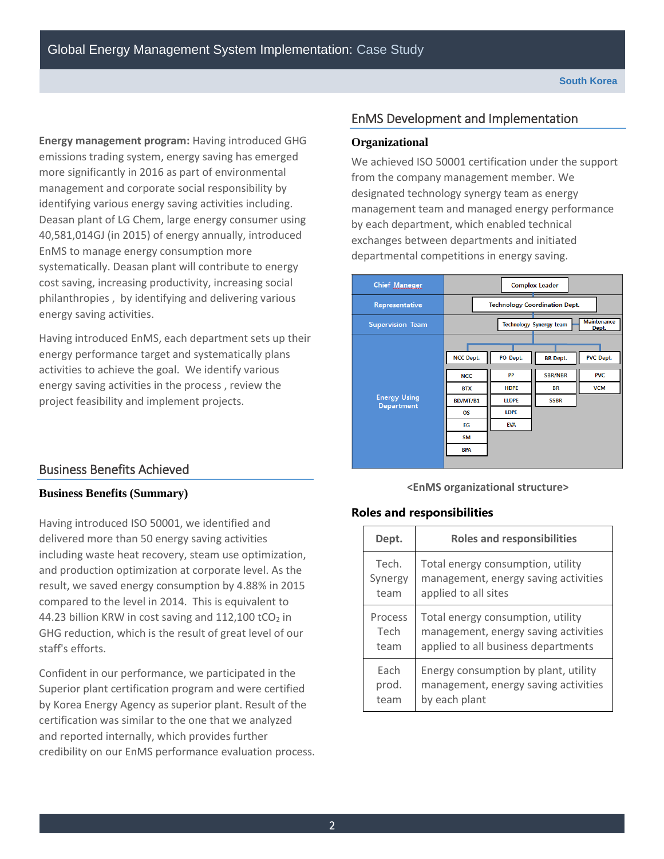**Energy management program:** Having introduced GHG emissions trading system, energy saving has emerged more significantly in 2016 as part of environmental management and corporate social responsibility by identifying various energy saving activities including. Deasan plant of LG Chem, large energy consumer using 40,581,014GJ (in 2015) of energy annually, introduced EnMS to manage energy consumption more systematically. Deasan plant will contribute to energy cost saving, increasing productivity, increasing social philanthropies , by identifying and delivering various energy saving activities.

Having introduced EnMS, each department sets up their energy performance target and systematically plans activities to achieve the goal. We identify various energy saving activities in the process , review the project feasibility and implement projects.

# EnMS Development and Implementation

#### **Organizational**

We achieved ISO 50001 certification under the support from the company management member. We designated technology synergy team as energy management team and managed energy performance by each department, which enabled technical exchanges between departments and initiated departmental competitions in energy saving.



# Business Benefits Achieved

### **Business Benefits (Summary)**

Having introduced ISO 50001, we identified and delivered more than 50 energy saving activities including waste heat recovery, steam use optimization, and production optimization at corporate level. As the result, we saved energy consumption by 4.88% in 2015 compared to the level in 2014. This is equivalent to 44.23 billion KRW in cost saving and  $112,100$  tCO<sub>2</sub> in GHG reduction, which is the result of great level of our staff's efforts.

Confident in our performance, we participated in the Superior plant certification program and were certified by Korea Energy Agency as superior plant. Result of the certification was similar to the one that we analyzed and reported internally, which provides further credibility on our EnMS performance evaluation process.

#### **<EnMS organizational structure>**

### **Roles and responsibilities**

| Dept.   | <b>Roles and responsibilities</b>    |
|---------|--------------------------------------|
| Tech.   | Total energy consumption, utility    |
| Synergy | management, energy saving activities |
| team    | applied to all sites                 |
| Process | Total energy consumption, utility    |
| Tech    | management, energy saving activities |
| team    | applied to all business departments  |
| Fach    | Energy consumption by plant, utility |
| prod.   | management, energy saving activities |
| team    | by each plant                        |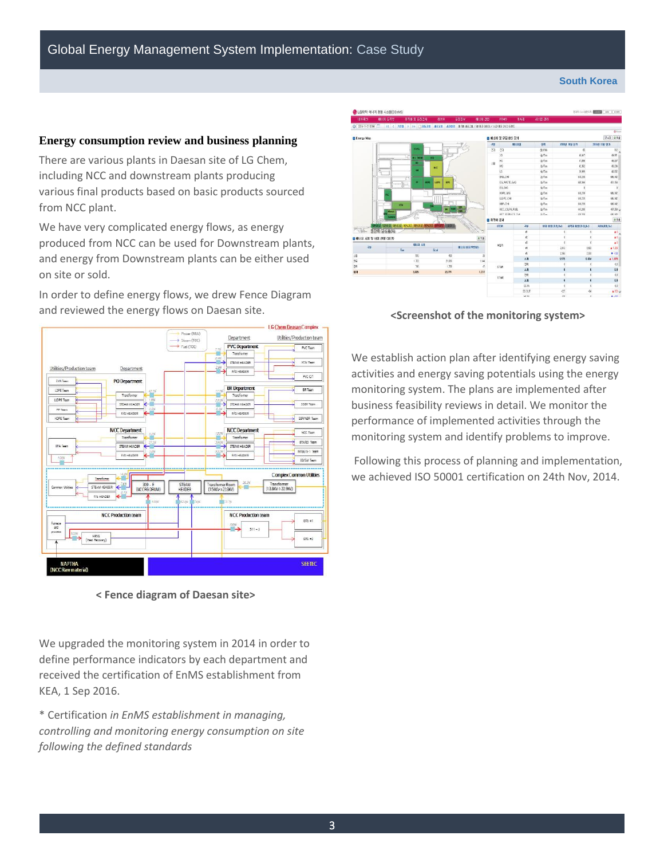#### **South Korea**

#### **Energy consumption review and business planning**

There are various plants in Daesan site of LG Chem, including NCC and downstream plants producing various final products based on basic products sourced from NCC plant.

We have very complicated energy flows, as energy produced from NCC can be used for Downstream plants, and energy from Downstream plants can be either used on site or sold.

In order to define energy flows, we drew Fence Diagram and reviewed the energy flows on Daesan site.



**< Fence diagram of Daesan site>**

We upgraded the monitoring system in 2014 in order to define performance indicators by each department and received the certification of EnMS establishment from KEA, 1 Sep 2016.

\* Certification *in EnMS establishment in managing, controlling and monitoring energy consumption on site following the defined standards*



**<Screenshot of the monitoring system>** 

We establish action plan after identifying energy saving activities and energy saving potentials using the energy monitoring system. The plans are implemented after business feasibility reviews in detail. We monitor the performance of implemented activities through the monitoring system and identify problems to improve.

Following this process of planning and implementation, we achieved ISO 50001 certification on 24th Nov, 2014.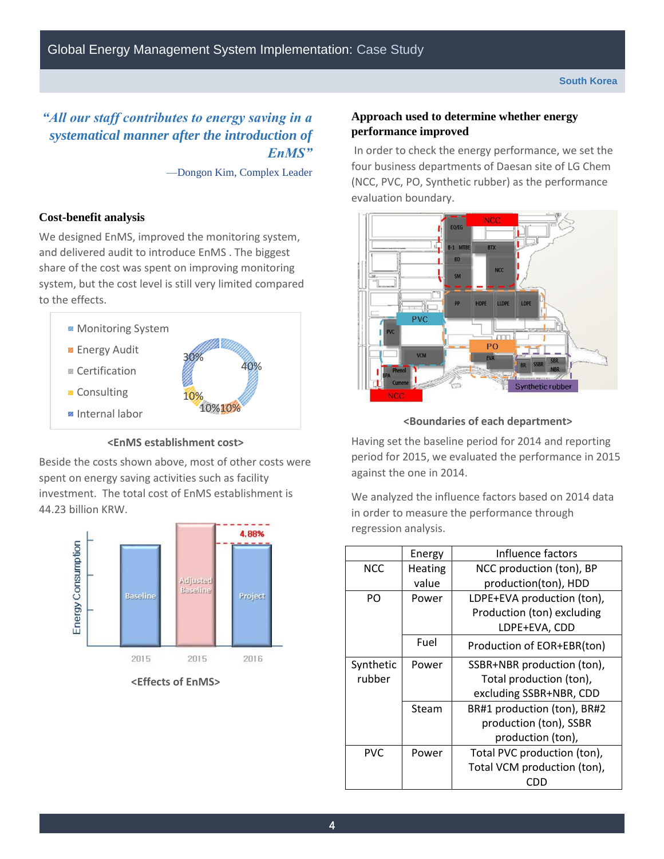# *"All our staff contributes to energy saving in a systematical manner after the introduction of EnMS"*

—Dongon Kim, Complex Leader

# **Cost-benefit analysis**

We designed EnMS, improved the monitoring system, and delivered audit to introduce EnMS . The biggest share of the cost was spent on improving monitoring system, but the cost level is still very limited compared to the effects.



#### **<EnMS establishment cost>**

Beside the costs shown above, most of other costs were spent on energy saving activities such as facility investment. The total cost of EnMS establishment is 44.23 billion KRW.



**<Effects of EnMS>**

### **Approach used to determine whether energy performance improved**

In order to check the energy performance, we set the four business departments of Daesan site of LG Chem (NCC, PVC, PO, Synthetic rubber) as the performance evaluation boundary.



# **<Boundaries of each department>**

Having set the baseline period for 2014 and reporting period for 2015, we evaluated the performance in 2015 against the one in 2014.

We analyzed the influence factors based on 2014 data in order to measure the performance through regression analysis.

|            | Energy         | Influence factors           |  |  |
|------------|----------------|-----------------------------|--|--|
| <b>NCC</b> | <b>Heating</b> | NCC production (ton), BP    |  |  |
|            | value          | production(ton), HDD        |  |  |
| PO         | Power          | LDPE+EVA production (ton),  |  |  |
|            |                | Production (ton) excluding  |  |  |
|            |                | LDPE+EVA, CDD               |  |  |
|            | Fuel           | Production of EOR+EBR(ton)  |  |  |
| Synthetic  | Power          | SSBR+NBR production (ton),  |  |  |
| rubber     |                | Total production (ton),     |  |  |
|            |                | excluding SSBR+NBR, CDD     |  |  |
|            | Steam          | BR#1 production (ton), BR#2 |  |  |
|            |                | production (ton), SSBR      |  |  |
|            |                | production (ton),           |  |  |
| <b>PVC</b> | Power          | Total PVC production (ton), |  |  |
|            |                | Total VCM production (ton), |  |  |
|            |                | נונו                        |  |  |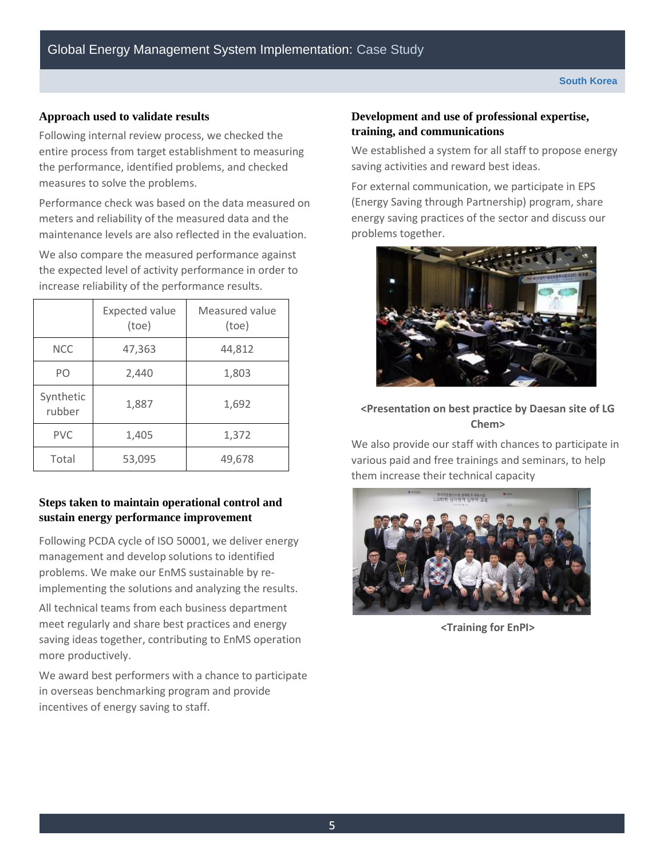# **Approach used to validate results**

Following internal review process, we checked the entire process from target establishment to measuring the performance, identified problems, and checked measures to solve the problems.

Performance check was based on the data measured on meters and reliability of the measured data and the maintenance levels are also reflected in the evaluation.

We also compare the measured performance against the expected level of activity performance in order to increase reliability of the performance results.

|                     | <b>Expected value</b><br>(toe) | Measured value<br>(toe) |
|---------------------|--------------------------------|-------------------------|
| <b>NCC</b>          | 47,363                         | 44,812                  |
| PO                  | 2,440                          | 1,803                   |
| Synthetic<br>rubber | 1,887                          | 1,692                   |
| <b>PVC</b>          | 1,405                          | 1,372                   |
| Total               | 53,095                         | 49,678                  |

# **Steps taken to maintain operational control and sustain energy performance improvement**

Following PCDA cycle of ISO 50001, we deliver energy management and develop solutions to identified problems. We make our EnMS sustainable by reimplementing the solutions and analyzing the results.

All technical teams from each business department meet regularly and share best practices and energy saving ideas together, contributing to EnMS operation more productively.

We award best performers with a chance to participate in overseas benchmarking program and provide incentives of energy saving to staff.

# **Development and use of professional expertise, training, and communications**

We established a system for all staff to propose energy saving activities and reward best ideas.

For external communication, we participate in EPS (Energy Saving through Partnership) program, share energy saving practices of the sector and discuss our problems together.



# **<Presentation on best practice by Daesan site of LG Chem>**

We also provide our staff with chances to participate in various paid and free trainings and seminars, to help them increase their technical capacity



**<Training for EnPI>**